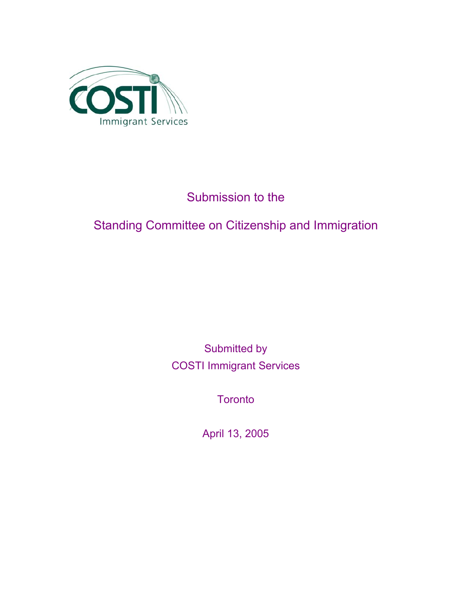

## Submission to the

# Standing Committee on Citizenship and Immigration

Submitted by COSTI Immigrant Services

**Toronto** 

April 13, 2005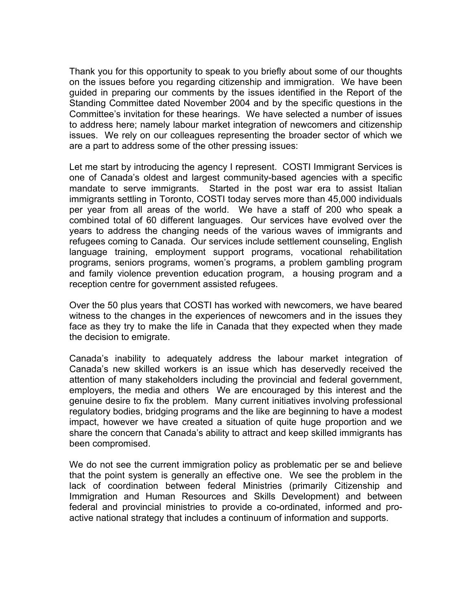Thank you for this opportunity to speak to you briefly about some of our thoughts on the issues before you regarding citizenship and immigration. We have been guided in preparing our comments by the issues identified in the Report of the Standing Committee dated November 2004 and by the specific questions in the Committee's invitation for these hearings. We have selected a number of issues to address here; namely labour market integration of newcomers and citizenship issues. We rely on our colleagues representing the broader sector of which we are a part to address some of the other pressing issues:

Let me start by introducing the agency I represent. COSTI Immigrant Services is one of Canada's oldest and largest community-based agencies with a specific mandate to serve immigrants. Started in the post war era to assist Italian immigrants settling in Toronto, COSTI today serves more than 45,000 individuals per year from all areas of the world. We have a staff of 200 who speak a combined total of 60 different languages. Our services have evolved over the years to address the changing needs of the various waves of immigrants and refugees coming to Canada. Our services include settlement counseling, English language training, employment support programs, vocational rehabilitation programs, seniors programs, women's programs, a problem gambling program and family violence prevention education program, a housing program and a reception centre for government assisted refugees.

Over the 50 plus years that COSTI has worked with newcomers, we have beared witness to the changes in the experiences of newcomers and in the issues they face as they try to make the life in Canada that they expected when they made the decision to emigrate.

Canada's inability to adequately address the labour market integration of Canada's new skilled workers is an issue which has deservedly received the attention of many stakeholders including the provincial and federal government, employers, the media and others We are encouraged by this interest and the genuine desire to fix the problem. Many current initiatives involving professional regulatory bodies, bridging programs and the like are beginning to have a modest impact, however we have created a situation of quite huge proportion and we share the concern that Canada's ability to attract and keep skilled immigrants has been compromised.

We do not see the current immigration policy as problematic per se and believe that the point system is generally an effective one. We see the problem in the lack of coordination between federal Ministries (primarily Citizenship and Immigration and Human Resources and Skills Development) and between federal and provincial ministries to provide a co-ordinated, informed and proactive national strategy that includes a continuum of information and supports.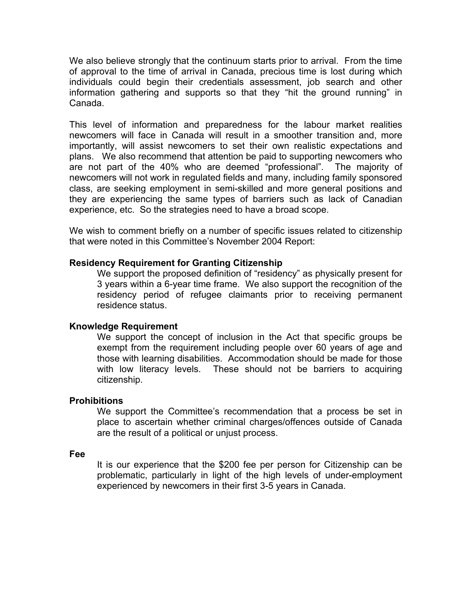We also believe strongly that the continuum starts prior to arrival. From the time of approval to the time of arrival in Canada, precious time is lost during which individuals could begin their credentials assessment, job search and other information gathering and supports so that they "hit the ground running" in Canada.

This level of information and preparedness for the labour market realities newcomers will face in Canada will result in a smoother transition and, more importantly, will assist newcomers to set their own realistic expectations and plans. We also recommend that attention be paid to supporting newcomers who are not part of the 40% who are deemed "professional". The majority of newcomers will not work in regulated fields and many, including family sponsored class, are seeking employment in semi-skilled and more general positions and they are experiencing the same types of barriers such as lack of Canadian experience, etc. So the strategies need to have a broad scope.

We wish to comment briefly on a number of specific issues related to citizenship that were noted in this Committee's November 2004 Report:

### **Residency Requirement for Granting Citizenship**

We support the proposed definition of "residency" as physically present for 3 years within a 6-year time frame. We also support the recognition of the residency period of refugee claimants prior to receiving permanent residence status.

#### **Knowledge Requirement**

We support the concept of inclusion in the Act that specific groups be exempt from the requirement including people over 60 years of age and those with learning disabilities. Accommodation should be made for those with low literacy levels. These should not be barriers to acquiring citizenship.

#### **Prohibitions**

We support the Committee's recommendation that a process be set in place to ascertain whether criminal charges/offences outside of Canada are the result of a political or unjust process.

#### **Fee**

It is our experience that the \$200 fee per person for Citizenship can be problematic, particularly in light of the high levels of under-employment experienced by newcomers in their first 3-5 years in Canada.